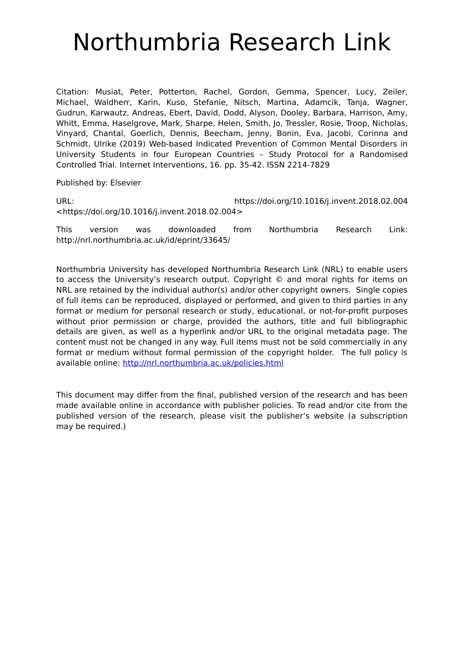# Northumbria Research Link

Citation: Musiat, Peter, Potterton, Rachel, Gordon, Gemma, Spencer, Lucy, Zeiler, Michael, Waldherr, Karin, Kuso, Stefanie, Nitsch, Martina, Adamcik, Tanja, Wagner, Gudrun, Karwautz, Andreas, Ebert, David, Dodd, Alyson, Dooley, Barbara, Harrison, Amy, Whitt, Emma, Haselgrove, Mark, Sharpe, Helen, Smith, Jo, Tressler, Rosie, Troop, Nicholas, Vinyard, Chantal, Goerlich, Dennis, Beecham, Jenny, Bonin, Eva, Jacobi, Corinna and Schmidt, Ulrike (2019) Web-based Indicated Prevention of Common Mental Disorders in University Students in four European Countries – Study Protocol for a Randomised Controlled Trial. Internet Interventions, 16. pp. 35-42. ISSN 2214-7829

Published by: Elsevier

URL: https://doi.org/10.1016/j.invent.2018.02.004 <https://doi.org/10.1016/j.invent.2018.02.004>

This version was downloaded from Northumbria Research Link: http://nrl.northumbria.ac.uk/id/eprint/33645/

Northumbria University has developed Northumbria Research Link (NRL) to enable users to access the University's research output. Copyright © and moral rights for items on NRL are retained by the individual author(s) and/or other copyright owners. Single copies of full items can be reproduced, displayed or performed, and given to third parties in any format or medium for personal research or study, educational, or not-for-profit purposes without prior permission or charge, provided the authors, title and full bibliographic details are given, as well as a hyperlink and/or URL to the original metadata page. The content must not be changed in any way. Full items must not be sold commercially in any format or medium without formal permission of the copyright holder. The full policy is available online:<http://nrl.northumbria.ac.uk/policies.html>

This document may differ from the final, published version of the research and has been made available online in accordance with publisher policies. To read and/or cite from the published version of the research, please visit the publisher's website (a subscription may be required.)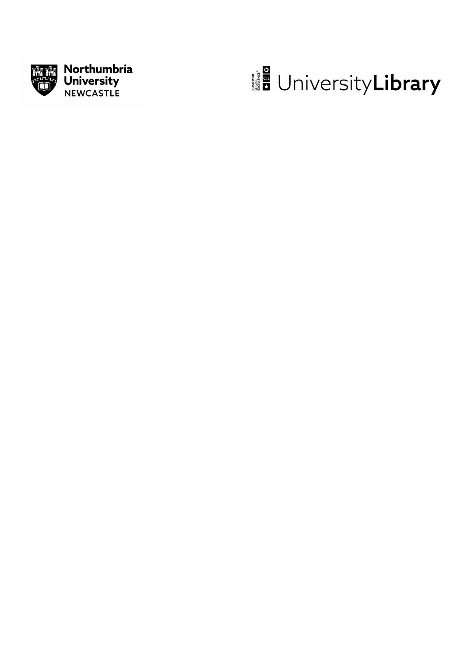

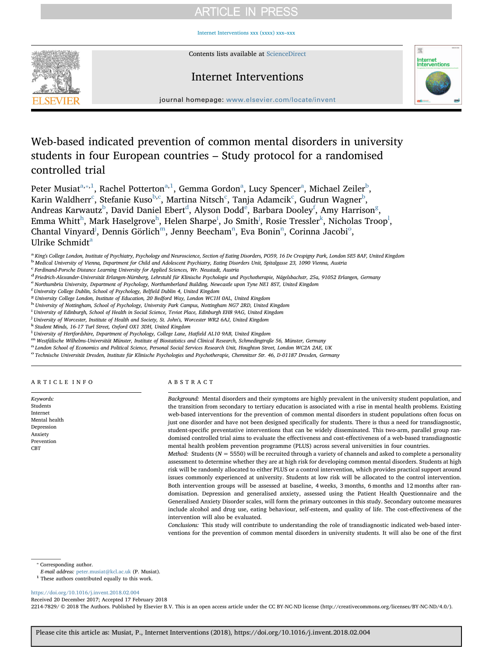[Internet Interventions xxx \(xxxx\) xxx–xxx](https://doi.org/10.1016/j.invent.2018.02.004)



Contents lists available at [ScienceDirect](http://www.sciencedirect.com/science/journal/22147829)

### Internet Interventions



journal homepage: [www.elsevier.com/locate/invent](https://www.elsevier.com/locate/invent)

## Web-based indicated prevention of common mental disorders in university students in four European countries – Study protocol for a randomised controlled trial

Peter Musi[a](#page-2-0)t $^{\mathrm{a},\mathrm{*},1}$  $^{\mathrm{a},\mathrm{*},1}$  $^{\mathrm{a},\mathrm{*},1}$ , Rachel Potterton $^{\mathrm{a},1}$ , Gemma Gordon $^{\mathrm{a}}$ , Lucy Spencer $^{\mathrm{a}}$ , Michael Zeiler $^{\mathrm{b}}$ , Karin Waldherr $^{\rm c}$  $^{\rm c}$  $^{\rm c}$ , Stefanie Kuso $^{\rm b,c}$  $^{\rm b,c}$  $^{\rm b,c}$ , Martina Nitsch $^{\rm c}$ , Tanja Adamcik $^{\rm c}$ , Gudrun Wagner $^{\rm b}$  $^{\rm b}$  $^{\rm b}$ , An[d](#page-2-5)r[e](#page-2-6)as Karwautz $^{\rm b}$  $^{\rm b}$  $^{\rm b}$ , David Daniel Ebert $^{\rm d}$ , Alyson Dodd $^{\rm e}$ , Barbara Dooley $^{\rm f}$  $^{\rm f}$  $^{\rm f}$ , Amy Harrison $^{\rm g}$  $^{\rm g}$  $^{\rm g}$ , Emma W[h](#page-2-9)[i](#page-2-10)tt $^{\rm h}$ , Mar[k](#page-2-12) Hase[l](#page-2-13)grove $^{\rm h}$ , Helen Sharpe $^{\rm i}$ , Jo Smith $^{\rm j}$  $^{\rm j}$  $^{\rm j}$ , Rosie Tressler $^{\rm k}$ , Nicholas Troop $^{\rm l}$ , Chantal Vinyard<sup>[j](#page-2-11)</sup>, Dennis Görlich<sup>[m](#page-2-14)</sup>, Je[n](#page-2-15)ny Beecham<sup>n</sup>, Eva B[o](#page-2-16)nin<sup>n</sup>, Corinna Jacobi<sup>o</sup>, Ulrike Schmidt<sup>[a](#page-2-0)</sup>

- <span id="page-2-3"></span><sup>b</sup> Medical University of Vienna, Department for Child and Adolescent Psychiatry, Eating Disorders Unit, Spitalgasse 23, 1090 Vienna, Austria
- <span id="page-2-4"></span><sup>c</sup> Ferdinand-Porsche Distance Learning University for Applied Sciences, Wr. Neustadt, Austria
- <span id="page-2-5"></span><sup>d</sup> Friedrich-Alexander-Universität Erlangen-Nürnberg, Lehrstuhl für Klinische Psychologie und Psychotherapie, Nägelsbachstr, 25a, 91052 Erlangen, Germany
- <span id="page-2-6"></span><sup>e</sup> Northumbria University, Department of Psychology, Northumberland Building, Newcastle upon Tyne NE1 8ST, United Kingdom
- <span id="page-2-7"></span><sup>f</sup> University College Dublin, School of Psychology, Belfield Dublin 4, United Kingdom
- <span id="page-2-8"></span><sup>8</sup> University College London, Institute of Education, 20 Bedford Way, London WC1H 0AL, United Kingdom
- <span id="page-2-9"></span>h University of Nottingham, School of Psychology, University Park Campus, Nottingham NG7 2RD, United Kingdom
- <span id="page-2-10"></span><sup>i</sup> University of Edinburgh, School of Health in Social Science, Teviot Place, Edinburgh EH8 9AG, United Kingdom
- <span id="page-2-11"></span><sup>j</sup> University of Worcester, Institute of Health and Society, St. John's, Worcester WR2 6AJ, United Kingdom
- <span id="page-2-12"></span><sup>k</sup> Student Minds, 16-17 Turl Street, Oxford OX1 3DH, United Kingdom
- <span id="page-2-13"></span><sup>1</sup> University of Hertfordshire, Department of Psychology, College Lane, Hatfield AL10 9AB, United Kingdom
- <span id="page-2-15"></span><span id="page-2-14"></span>m Westfälische Wilhelms-Universität Münster, Institute of Biostatistics and Clinical Research, Schmedingtraße 56, Münster, Germany<br>n London School of Economics and Political Science, Personal Social Services Research Unit,
- <span id="page-2-16"></span>
- <sup>o</sup> Technische Universität Dresden, Institute für Klinische Psychologies und Psychotherapie, Chemnitzer Str. 46, D-01187 Dresden, Germany

### ARTICLE INFO

Keywords: Students Internet Mental health Depression Anxiety Prevention CBT

#### ABSTRACT

Background: Mental disorders and their symptoms are highly prevalent in the university student population, and the transition from secondary to tertiary education is associated with a rise in mental health problems. Existing web-based interventions for the prevention of common mental disorders in student populations often focus on just one disorder and have not been designed specifically for students. There is thus a need for transdiagnostic, student-specific preventative interventions that can be widely disseminated. This two-arm, parallel group randomised controlled trial aims to evaluate the effectiveness and cost-effectiveness of a web-based transdiagnostic mental health problem prevention programme (PLUS) across several universities in four countries.

Method: Students ( $N = 5550$ ) will be recruited through a variety of channels and asked to complete a personality assessment to determine whether they are at high risk for developing common mental disorders. Students at high risk will be randomly allocated to either PLUS or a control intervention, which provides practical support around issues commonly experienced at university. Students at low risk will be allocated to the control intervention. Both intervention groups will be assessed at baseline, 4 weeks, 3 months, 6 months and 12 months after randomisation. Depression and generalised anxiety, assessed using the Patient Health Questionnaire and the Generalised Anxiety Disorder scales, will form the primary outcomes in this study. Secondary outcome measures include alcohol and drug use, eating behaviour, self-esteem, and quality of life. The cost-effectiveness of the intervention will also be evaluated.

Conclusions: This study will contribute to understanding the role of transdiagnostic indicated web-based interventions for the prevention of common mental disorders in university students. It will also be one of the first

<span id="page-2-1"></span>⁎ Corresponding author.

- E-mail address: [peter.musiat@kcl.ac.uk](mailto:peter.musiat@kcl.ac.uk) (P. Musiat).
- <span id="page-2-2"></span> $^{\rm 1}$  These authors contributed equally to this work.

#### <https://doi.org/10.1016/j.invent.2018.02.004>

Received 20 December 2017; Accepted 17 February 2018

2214-7829/ © 2018 The Authors. Published by Elsevier B.V. This is an open access article under the CC BY-NC-ND license (http://creativecommons.org/licenses/BY-NC-ND/4.0/).

<span id="page-2-0"></span>a King's College London, Institute of Psychiatry, Psychology and Neuroscience, Section of Eating Disorders, PO59, 16 De Crespigny Park, London SE5 8AF, United Kingdom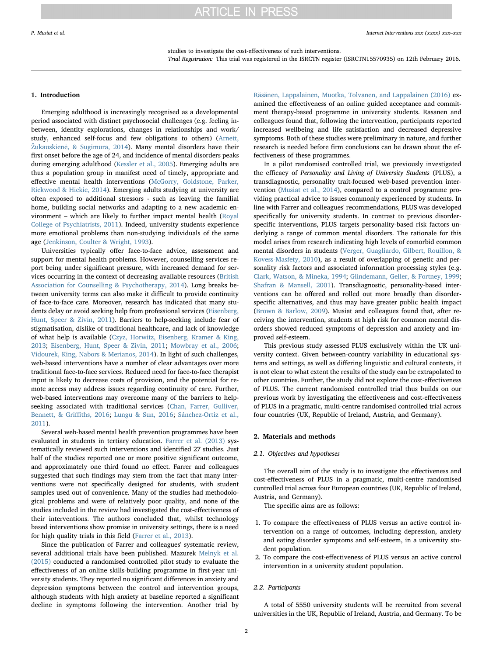studies to investigate the cost-effectiveness of such interventions. Trial Registration: This trial was registered in the ISRCTN register (ISRCTN15570935) on 12th February 2016.

#### 1. Introduction

Emerging adulthood is increasingly recognised as a developmental period associated with distinct psychosocial challenges (e.g. feeling inbetween, identity explorations, changes in relationships and work/ study, enhanced self-focus and few obligations to others) [\(Arnett,](#page-9-0) Žukauskienė[, & Sugimura, 2014\)](#page-9-0). Many mental disorders have their first onset before the age of 24, and incidence of mental disorders peaks during emerging adulthood ([Kessler et al., 2005](#page-9-1)). Emerging adults are thus a population group in manifest need of timely, appropriate and effective mental health interventions ([McGorry, Goldstone, Parker,](#page-9-2) [Rickwood & Hickie, 2014\)](#page-9-2). Emerging adults studying at university are often exposed to additional stressors - such as leaving the familial home, building social networks and adapting to a new academic environment – which are likely to further impact mental health [\(Royal](#page-9-3) [College of Psychiatrists, 2011](#page-9-3)). Indeed, university students experience more emotional problems than non-studying individuals of the same age [\(Jenkinson, Coulter & Wright, 1993\)](#page-9-4).

Universities typically offer face-to-face advice, assessment and support for mental health problems. However, counselling services report being under significant pressure, with increased demand for services occurring in the context of decreasing available resources [\(British](#page-9-5) [Association for Counselling & Psychotherapy, 2014\)](#page-9-5). Long breaks between university terms can also make it difficult to provide continuity of face-to-face care. Moreover, research has indicated that many students delay or avoid seeking help from professional services [\(Eisenberg,](#page-9-6) [Hunt, Speer & Zivin, 2011\)](#page-9-6). Barriers to help-seeking include fear of stigmatisation, dislike of traditional healthcare, and lack of knowledge of what help is available [\(Czyz, Horwitz, Eisenberg, Kramer & King,](#page-9-7) [2013;](#page-9-7) [Eisenberg, Hunt, Speer & Zivin, 2011](#page-9-6); [Mowbray et al., 2006](#page-9-8); [Vidourek, King, Nabors & Merianos, 2014\)](#page-9-9). In light of such challenges, web-based interventions have a number of clear advantages over more traditional face-to-face services. Reduced need for face-to-face therapist input is likely to decrease costs of provision, and the potential for remote access may address issues regarding continuity of care. Further, web-based interventions may overcome many of the barriers to helpseeking associated with traditional services [\(Chan, Farrer, Gulliver,](#page-9-10) [Bennett, & Gri](#page-9-10)ffiths, 2016; [Lungu & Sun, 2016;](#page-9-11) [Sánchez-Ortiz et al.,](#page-9-12) [2011\)](#page-9-12).

Several web-based mental health prevention programmes have been evaluated in students in tertiary education. [Farrer et al. \(2013\)](#page-9-13) systematically reviewed such interventions and identified 27 studies. Just half of the studies reported one or more positive significant outcome, and approximately one third found no effect. Farrer and colleagues suggested that such findings may stem from the fact that many interventions were not specifically designed for students, with student samples used out of convenience. Many of the studies had methodological problems and were of relatively poor quality, and none of the studies included in the review had investigated the cost-effectiveness of their interventions. The authors concluded that, whilst technology based interventions show promise in university settings, there is a need for high quality trials in this field [\(Farrer et al., 2013](#page-9-13)).

Since the publication of Farrer and colleagues' systematic review, several additional trials have been published. Mazurek [Melnyk et al.](#page-9-14) [\(2015\)](#page-9-14) conducted a randomised controlled pilot study to evaluate the effectiveness of an online skills-building programme in first-year university students. They reported no significant differences in anxiety and depression symptoms between the control and intervention groups, although students with high anxiety at baseline reported a significant decline in symptoms following the intervention. Another trial by

[Räsänen, Lappalainen, Muotka, Tolvanen, and Lappalainen \(2016\)](#page-9-15) examined the effectiveness of an online guided acceptance and commitment therapy-based programme in university students. Rasanen and colleagues found that, following the intervention, participants reported increased wellbeing and life satisfaction and decreased depressive symptoms. Both of these studies were preliminary in nature, and further research is needed before firm conclusions can be drawn about the effectiveness of these programmes.

In a pilot randomised controlled trial, we previously investigated the efficacy of Personality and Living of University Students (PLUS), a transdiagnostic, personality trait-focused web-based prevention intervention [\(Musiat et al., 2014\)](#page-9-16), compared to a control programme providing practical advice to issues commonly experienced by students. In line with Farrer and colleagues' recommendations, PLUS was developed specifically for university students. In contrast to previous disorderspecific interventions, PLUS targets personality-based risk factors underlying a range of common mental disorders. The rationale for this model arises from research indicating high levels of comorbid common mental disorders in students [\(Verger, Guagliardo, Gilbert, Rouillon, &](#page-9-17) [Kovess-Masfety, 2010](#page-9-17)), as a result of overlapping of genetic and personality risk factors and associated information processing styles (e.g. [Clark, Watson, & Mineka, 1994](#page-9-18); [Glindemann, Geller, & Fortney, 1999](#page-9-19); [Shafran & Mansell, 2001](#page-9-20)). Transdiagnostic, personality-based interventions can be offered and rolled out more broadly than disorderspecific alternatives, and thus may have greater public health impact ([Brown & Barlow, 2009](#page-9-21)). Musiat and colleagues found that, after receiving the intervention, students at high risk for common mental disorders showed reduced symptoms of depression and anxiety and improved self-esteem.

This previous study assessed PLUS exclusively within the UK university context. Given between-country variability in educational systems and settings, as well as differing linguistic and cultural contexts, it is not clear to what extent the results of the study can be extrapolated to other countries. Further, the study did not explore the cost-effectiveness of PLUS. The current randomised controlled trial thus builds on our previous work by investigating the effectiveness and cost-effectiveness of PLUS in a pragmatic, multi-centre randomised controlled trial across four countries (UK, Republic of Ireland, Austria, and Germany).

### 2. Materials and methods

#### 2.1. Objectives and hypotheses

The overall aim of the study is to investigate the effectiveness and cost-effectiveness of PLUS in a pragmatic, multi-centre randomised controlled trial across four European countries (UK, Republic of Ireland, Austria, and Germany).

The specific aims are as follows:

- 1. To compare the effectiveness of PLUS versus an active control intervention on a range of outcomes, including depression, anxiety and eating disorder symptoms and self-esteem, in a university student population.
- 2. To compare the cost-effectiveness of PLUS versus an active control intervention in a university student population.

#### 2.2. Participants

A total of 5550 university students will be recruited from several universities in the UK, Republic of Ireland, Austria, and Germany. To be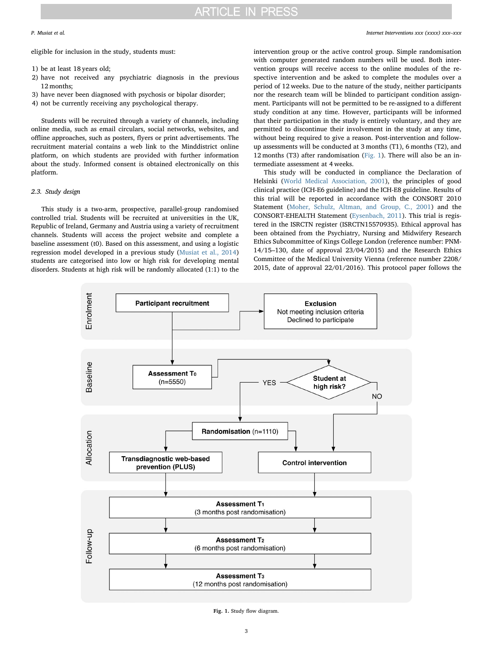P. Musiat et al. *Internet Interventions xxx (xxxx) xxx–xxx*

eligible for inclusion in the study, students must:

- 1) be at least 18 years old;
- 2) have not received any psychiatric diagnosis in the previous 12 months;
- 3) have never been diagnosed with psychosis or bipolar disorder;
- 4) not be currently receiving any psychological therapy.

Students will be recruited through a variety of channels, including online media, such as email circulars, social networks, websites, and offline approaches, such as posters, flyers or print advertisements. The recruitment material contains a web link to the Minddistrict online platform, on which students are provided with further information about the study. Informed consent is obtained electronically on this platform.

#### 2.3. Study design

This study is a two-arm, prospective, parallel-group randomised controlled trial. Students will be recruited at universities in the UK, Republic of Ireland, Germany and Austria using a variety of recruitment channels. Students will access the project website and complete a baseline assessment (t0). Based on this assessment, and using a logistic regression model developed in a previous study ([Musiat et al., 2014\)](#page-9-16) students are categorised into low or high risk for developing mental disorders. Students at high risk will be randomly allocated (1:1) to the intervention group or the active control group. Simple randomisation with computer generated random numbers will be used. Both intervention groups will receive access to the online modules of the respective intervention and be asked to complete the modules over a period of 12 weeks. Due to the nature of the study, neither participants nor the research team will be blinded to participant condition assignment. Participants will not be permitted to be re-assigned to a different study condition at any time. However, participants will be informed that their participation in the study is entirely voluntary, and they are permitted to discontinue their involvement in the study at any time, without being required to give a reason. Post-intervention and followup assessments will be conducted at 3 months (T1), 6 months (T2), and 12 months (T3) after randomisation [\(Fig. 1\)](#page-4-0). There will also be an intermediate assessment at 4 weeks.

This study will be conducted in compliance the Declaration of Helsinki ([World Medical Association, 2001\)](#page-9-22), the principles of good clinical practice (ICH-E6 guideline) and the ICH-E8 guideline. Results of this trial will be reported in accordance with the CONSORT 2010 Statement ([Moher, Schulz, Altman, and Group, C., 2001](#page-9-23)) and the CONSORT-EHEALTH Statement ([Eysenbach, 2011\)](#page-9-24). This trial is registered in the ISRCTN register (ISRCTN15570935). Ethical approval has been obtained from the Psychiatry, Nursing and Midwifery Research Ethics Subcommittee of Kings College London (reference number: PNM-14/15–130, date of approval 23/04/2015) and the Research Ethics Committee of the Medical University Vienna (reference number 2208/ 2015, date of approval 22/01/2016). This protocol paper follows the

<span id="page-4-0"></span>

Fig. 1. Study flow diagram.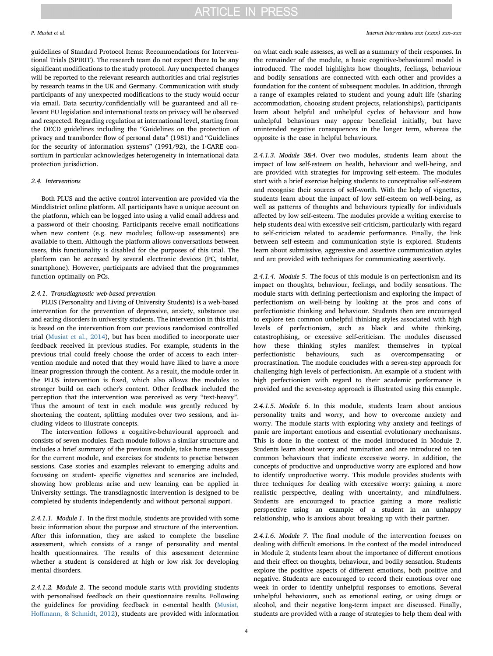guidelines of Standard Protocol Items: Recommendations for Interventional Trials (SPIRIT). The research team do not expect there to be any significant modifications to the study protocol. Any unexpected changes will be reported to the relevant research authorities and trial registries by research teams in the UK and Germany. Communication with study participants of any unexpected modifications to the study would occur via email. Data security/confidentially will be guaranteed and all relevant EU legislation and international texts on privacy will be observed and respected. Regarding regulation at international level, starting from the OECD guidelines including the "Guidelines on the protection of privacy and transborder flow of personal data" (1981) and "Guidelines for the security of information systems" (1991/92), the I-CARE consortium in particular acknowledges heterogeneity in international data protection jurisdiction.

#### 2.4. Interventions

Both PLUS and the active control intervention are provided via the Minddistrict online platform. All participants have a unique account on the platform, which can be logged into using a valid email address and a password of their choosing. Participants receive email notifications when new content (e.g. new modules; follow-up assessments) are available to them. Although the platform allows conversations between users, this functionality is disabled for the purposes of this trial. The platform can be accessed by several electronic devices (PC, tablet, smartphone). However, participants are advised that the programmes function optimally on PCs.

#### 2.4.1. Transdiagnostic web-based prevention

PLUS (Personality and Living of University Students) is a web-based intervention for the prevention of depressive, anxiety, substance use and eating disorders in university students. The intervention in this trial is based on the intervention from our previous randomised controlled trial [\(Musiat et al., 2014](#page-9-16)), but has been modified to incorporate user feedback received in previous studies. For example, students in the previous trial could freely choose the order of access to each intervention module and noted that they would have liked to have a more linear progression through the content. As a result, the module order in the PLUS intervention is fixed, which also allows the modules to stronger build on each other's content. Other feedback included the perception that the intervention was perceived as very "text-heavy". Thus the amount of text in each module was greatly reduced by shortening the content, splitting modules over two sessions, and including videos to illustrate concepts.

The intervention follows a cognitive-behavioural approach and consists of seven modules. Each module follows a similar structure and includes a brief summary of the previous module, take home messages for the current module, and exercises for students to practise between sessions. Case stories and examples relevant to emerging adults and focussing on student- specific vignettes and scenarios are included, showing how problems arise and new learning can be applied in University settings. The transdiagnostic intervention is designed to be completed by students independently and without personal support.

2.4.1.1. Module 1. In the first module, students are provided with some basic information about the purpose and structure of the intervention. After this information, they are asked to complete the baseline assessment, which consists of a range of personality and mental health questionnaires. The results of this assessment determine whether a student is considered at high or low risk for developing mental disorders.

2.4.1.2. Module 2. The second module starts with providing students with personalised feedback on their questionnaire results. Following the guidelines for providing feedback in e-mental health ([Musiat,](#page-9-25) Hoff[mann, & Schmidt, 2012\)](#page-9-25), students are provided with information

on what each scale assesses, as well as a summary of their responses. In the remainder of the module, a basic cognitive-behavioural model is introduced. The model highlights how thoughts, feelings, behaviour and bodily sensations are connected with each other and provides a foundation for the content of subsequent modules. In addition, through a range of examples related to student and young adult life (sharing accommodation, choosing student projects, relationships), participants learn about helpful and unhelpful cycles of behaviour and how unhelpful behaviours may appear beneficial initially, but have unintended negative consequences in the longer term, whereas the opposite is the case in helpful behaviours.

2.4.1.3. Module 3&4. Over two modules, students learn about the impact of low self-esteem on health, behaviour and well-being, and are provided with strategies for improving self-esteem. The modules start with a brief exercise helping students to conceptualise self-esteem and recognise their sources of self-worth. With the help of vignettes, students learn about the impact of low self-esteem on well-being, as well as patterns of thoughts and behaviours typically for individuals affected by low self-esteem. The modules provide a writing exercise to help students deal with excessive self-criticism, particularly with regard to self-criticism related to academic performance. Finally, the link between self-esteem and communication style is explored. Students learn about submissive, aggressive and assertive communication styles and are provided with techniques for communicating assertively.

2.4.1.4. Module 5. The focus of this module is on perfectionism and its impact on thoughts, behaviour, feelings, and bodily sensations. The module starts with defining perfectionism and exploring the impact of perfectionism on well-being by looking at the pros and cons of perfectionistic thinking and behaviour. Students then are encouraged to explore ten common unhelpful thinking styles associated with high levels of perfectionism, such as black and white thinking, catastrophising, or excessive self-criticism. The modules discussed how these thinking styles manifest themselves in typical perfectionistic behaviours, such as overcompensating or procrastination. The module concludes with a seven-step approach for challenging high levels of perfectionism. An example of a student with high perfectionism with regard to their academic performance is provided and the seven-step approach is illustrated using this example.

2.4.1.5. Module 6. In this module, students learn about anxious personality traits and worry, and how to overcome anxiety and worry. The module starts with exploring why anxiety and feelings of panic are important emotions and essential evolutionary mechanisms. This is done in the context of the model introduced in Module 2. Students learn about worry and rumination and are introduced to ten common behaviours that indicate excessive worry. In addition, the concepts of productive and unproductive worry are explored and how to identify unproductive worry. This module provides students with three techniques for dealing with excessive worry: gaining a more realistic perspective, dealing with uncertainty, and mindfulness. Students are encouraged to practice gaining a more realistic perspective using an example of a student in an unhappy relationship, who is anxious about breaking up with their partner.

2.4.1.6. Module 7. The final module of the intervention focuses on dealing with difficult emotions. In the context of the model introduced in Module 2, students learn about the importance of different emotions and their effect on thoughts, behaviour, and bodily sensation. Students explore the positive aspects of different emotions, both positive and negative. Students are encouraged to record their emotions over one week in order to identify unhelpful responses to emotions. Several unhelpful behaviours, such as emotional eating, or using drugs or alcohol, and their negative long-term impact are discussed. Finally, students are provided with a range of strategies to help them deal with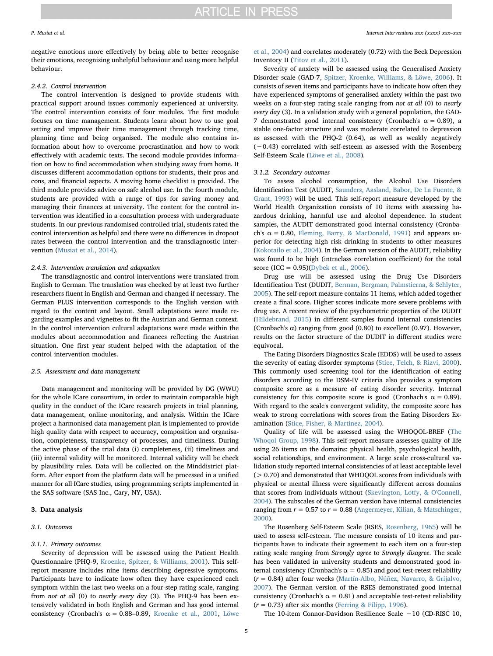negative emotions more effectively by being able to better recognise their emotions, recognising unhelpful behaviour and using more helpful behaviour.

#### 2.4.2. Control intervention

The control intervention is designed to provide students with practical support around issues commonly experienced at university. The control intervention consists of four modules. The first module focuses on time management. Students learn about how to use goal setting and improve their time management through tracking time, planning time and being organised. The module also contains information about how to overcome procrastination and how to work effectively with academic texts. The second module provides information on how to find accommodation when studying away from home. It discusses different accommodation options for students, their pros and cons, and financial aspects. A moving home checklist is provided. The third module provides advice on safe alcohol use. In the fourth module, students are provided with a range of tips for saving money and managing their finances at university. The content for the control intervention was identified in a consultation process with undergraduate students. In our previous randomised controlled trial, students rated the control intervention as helpful and there were no differences in dropout rates between the control intervention and the transdiagnostic intervention ([Musiat et al., 2014](#page-9-16)).

#### 2.4.3. Intervention translation and adaptation

The transdiagnostic and control interventions were translated from English to German. The translation was checked by at least two further researchers fluent in English and German and changed if necessary. The German PLUS intervention corresponds to the English version with regard to the content and layout. Small adaptations were made regarding examples and vignettes to fit the Austrian and German context. In the control intervention cultural adaptations were made within the modules about accommodation and finances reflecting the Austrian situation. One first year student helped with the adaptation of the control intervention modules.

### 2.5. Assessment and data management

Data management and monitoring will be provided by DG (WWU) for the whole ICare consortium, in order to maintain comparable high quality in the conduct of the ICare research projects in trial planning, data management, online monitoring, and analysis. Within the ICare project a harmonised data management plan is implemented to provide high quality data with respect to accuracy, composition and organisation, completeness, transparency of processes, and timeliness. During the active phase of the trial data (i) completeness, (ii) timeliness and (iii) internal validity will be monitored. Internal validity will be check by plausibility rules. Data will be collected on the Minddistrict platform. After export from the platform data will be processed in a unified manner for all ICare studies, using programming scripts implemented in the SAS software (SAS Inc., Cary, NY, USA).

#### 3. Data analysis

#### 3.1. Outcomes

#### 3.1.1. Primary outcomes

Severity of depression will be assessed using the Patient Health Questionnaire (PHQ-9, [Kroenke, Spitzer, & Williams, 2001](#page-9-26)). This selfreport measure includes nine items describing depressive symptoms. Participants have to indicate how often they have experienced each symptom within the last two weeks on a four-step rating scale, ranging from not at all (0) to nearly every day (3). The PHQ-9 has been extensively validated in both English and German and has good internal consistency (Cronbach's  $\alpha = 0.88 - 0.89$ , [Kroenke et al., 2001](#page-9-26), [Löwe](#page-9-27)

[et al., 2004](#page-9-27)) and correlates moderately (0.72) with the Beck Depression Inventory II [\(Titov et al., 2011](#page-9-28)).

Severity of anxiety will be assessed using the Generalised Anxiety Disorder scale (GAD-7, [Spitzer, Kroenke, Williams, & Löwe, 2006\)](#page-9-29). It consists of seven items and participants have to indicate how often they have experienced symptoms of generalised anxiety within the past two weeks on a four-step rating scale ranging from not at all (0) to nearly every day (3). In a validation study with a general population, the GAD-7 demonstrated good internal consistency (Cronbach's  $\alpha = 0.89$ ), a stable one-factor structure and was moderate correlated to depression as assessed with the PHQ-2 (0.64), as well as weakly negatively (−0.43) correlated with self-esteem as assessed with the Rosenberg Self-Esteem Scale ([Löwe et al., 2008\)](#page-9-30).

#### 3.1.2. Secondary outcomes

To assess alcohol consumption, the Alcohol Use Disorders Identification Test (AUDIT, [Saunders, Aasland, Babor, De La Fuente, &](#page-9-31) [Grant, 1993\)](#page-9-31) will be used. This self-report measure developed by the World Health Organization consists of 10 items with assessing hazardous drinking, harmful use and alcohol dependence. In student samples, the AUDIT demonstrated good internal consistency (Cronbach's  $\alpha$  = 0.80, [Fleming, Barry, & MacDonald, 1991](#page-9-32)) and appears superior for detecting high risk drinking in students to other measures ([Kokotailo et al., 2004](#page-9-33)). In the German version of the AUDIT, reliability was found to be high (intraclass correlation coefficient) for the total score (ICC =  $0.95$ )([Dybek et al., 2006\)](#page-9-34).

Drug use will be assessed using the Drug Use Disorders Identification Test (DUDIT, [Berman, Bergman, Palmstierna, & Schlyter,](#page-9-35) [2005\)](#page-9-35). The self-report measure contains 11 items, which added together create a final score. Higher scores indicate more severe problems with drug use. A recent review of the psychometric properties of the DUDIT ([Hildebrand, 2015](#page-9-36)) in different samples found internal consistencies (Cronbach's  $\alpha$ ) ranging from good (0.80) to excellent (0.97). However, results on the factor structure of the DUDIT in different studies were equivocal.

The Eating Disorders Diagnostics Scale (EDDS) will be used to assess the severity of eating disorder symptoms ([Stice, Telch, & Rizvi, 2000](#page-9-37)). This commonly used screening tool for the identification of eating disorders according to the DSM-IV criteria also provides a symptom composite score as a measure of eating disorder severity. Internal consistency for this composite score is good (Cronbach's  $\alpha = 0.89$ ). With regard to the scale's convergent validity, the composite score has weak to strong correlations with scores from the Eating Disorders Examination [\(Stice, Fisher, & Martinez, 2004\)](#page-9-38).

Quality of life will be assessed using the WHOQOL-BREF [\(The](#page-9-39) [Whoqol Group, 1998\)](#page-9-39). This self-report measure assesses quality of life using 26 items on the domains: physical health, psychological health, social relationships, and environment. A large scale cross-cultural validation study reported internal consistencies of at least acceptable level (> 0.70) and demonstrated that WHOQOL scores from individuals with physical or mental illness were significantly different across domains that scores from individuals without [\(Skevington, Lotfy, & O'Connell,](#page-9-40) [2004\)](#page-9-40). The subscales of the German version have internal consistencies ranging from  $r = 0.57$  to  $r = 0.88$  [\(Angermeyer, Kilian, & Matschinger,](#page-8-0) [2000\)](#page-8-0).

The Rosenberg Self-Esteem Scale (RSES, [Rosenberg, 1965\)](#page-9-41) will be used to assess self-esteem. The measure consists of 10 items and participants have to indicate their agreement to each item on a four-step rating scale ranging from Strongly agree to Strongly disagree. The scale has been validated in university students and demonstrated good internal consistency (Cronbach's  $\alpha = 0.85$ ) and good test-retest reliability (r = 0.84) after four weeks [\(Martín-Albo, Núñez, Navarro, & Grijalvo,](#page-9-42) [2007\)](#page-9-42). The German version of the RSES demonstrated good internal consistency (Cronbach's  $\alpha = 0.81$ ) and acceptable test-retest reliability  $(r = 0.73)$  after six months [\(Ferring & Filipp, 1996\)](#page-9-43).

The 10-item Connor-Davidson Resilience Scale −10 (CD-RISC 10,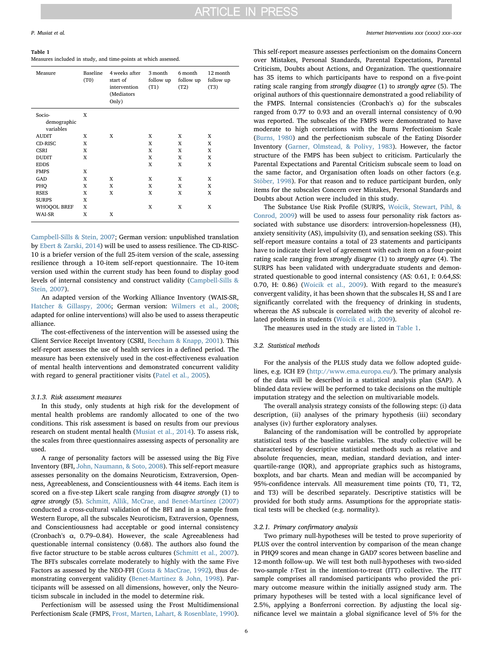#### <span id="page-7-0"></span>Table 1

Measures included in study, and time-points at which assessed.

| Measure                            | Baseline<br>(T0) | 4 weeks after<br>start of<br>intervention<br>(Mediators<br>Only) | 3 month<br>follow up<br>(T1) | 6 month<br>follow up<br>(T2) | 12 month<br>follow up<br>(T3) |
|------------------------------------|------------------|------------------------------------------------------------------|------------------------------|------------------------------|-------------------------------|
| Socio-<br>demographic<br>variables | X                |                                                                  |                              |                              |                               |
| <b>AUDIT</b>                       | X                | X                                                                | X                            | X                            | X                             |
| CD-RISC                            | X                |                                                                  | X                            | X                            | X                             |
| <b>CSRI</b>                        | X                |                                                                  | X                            | X                            | X                             |
| <b>DUDIT</b>                       | X                |                                                                  | X                            | X                            | X                             |
| <b>EDDS</b>                        |                  |                                                                  | X                            | X                            | X                             |
| <b>FMPS</b>                        | X                |                                                                  |                              |                              |                               |
| GAD                                | X                | X                                                                | X                            | X                            | X                             |
| PHO                                | X                | X                                                                | X                            | X                            | X                             |
| <b>RSES</b>                        | X                | X                                                                | X                            | X                            | X                             |
| <b>SURPS</b>                       | X                |                                                                  |                              |                              |                               |
| <b>WHOOOL BREF</b>                 | X                |                                                                  | X                            | X                            | X                             |
| WAI-SR                             | X                | X                                                                |                              |                              |                               |
|                                    |                  |                                                                  |                              |                              |                               |

[Campbell-Sills & Stein, 2007](#page-9-44); German version: unpublished translation by [Ebert & Zarski, 2014](#page-9-45)) will be used to assess resilience. The CD-RISC-10 is a briefer version of the full 25-item version of the scale, assessing resilience through a 10-item self-report questionnaire. The 10-item version used within the current study has been found to display good levels of internal consistency and construct validity ([Campbell-Sills &](#page-9-44) [Stein, 2007](#page-9-44)).

An adapted version of the Working Alliance Inventory (WAIS-SR, [Hatcher & Gillaspy, 2006;](#page-9-46) German version: [Wilmers et al., 2008](#page-9-47); adapted for online interventions) will also be used to assess therapeutic alliance.

The cost-effectiveness of the intervention will be assessed using the Client Service Receipt Inventory (CSRI, [Beecham & Knapp, 2001](#page-9-48)). This self-report assesses the use of health services in a defined period. The measure has been extensively used in the cost-effectiveness evaluation of mental health interventions and demonstrated concurrent validity with regard to general practitioner visits [\(Patel et al., 2005](#page-9-49)).

#### 3.1.3. Risk assessment measures

In this study, only students at high risk for the development of mental health problems are randomly allocated to one of the two conditions. This risk assessment is based on results from our previous research on student mental health [\(Musiat et al., 2014\)](#page-9-16). To assess risk, the scales from three questionnaires assessing aspects of personality are used.

A range of personality factors will be assessed using the Big Five Inventory (BFI, [John, Naumann, & Soto, 2008](#page-9-50)). This self-report measure assesses personality on the domains Neuroticism, Extraversion, Openness, Agreeableness, and Conscientiousness with 44 items. Each item is scored on a five-step Likert scale ranging from disagree strongly (1) to agree strongly (5). [Schmitt, Allik, McCrae, and Benet-Martínez \(2007\)](#page-9-51) conducted a cross-cultural validation of the BFI and in a sample from Western Europe, all the subscales Neuroticism, Extraversion, Openness, and Conscientiousness had acceptable or good internal consistency (Cronbach's α, 0.79–0.84). However, the scale Agreeableness had questionable internal consistency (0.68). The authors also found the five factor structure to be stable across cultures ([Schmitt et al., 2007](#page-9-51)). The BFI's subscales correlate moderately to highly with the same Five Factors as assessed by the NEO-FFI [\(Costa & MacCrae, 1992](#page-9-52)), thus demonstrating convergent validity [\(Benet-Martinez & John, 1998\)](#page-9-53). Participants will be assessed on all dimensions, however, only the Neuroticism subscale in included in the model to determine risk.

Perfectionism will be assessed using the Frost Multidimensional Perfectionism Scale (FMPS, [Frost, Marten, Lahart, & Rosenblate, 1990](#page-9-54)).

This self-report measure assesses perfectionism on the domains Concern over Mistakes, Personal Standards, Parental Expectations, Parental Criticism, Doubts about Actions, and Organization. The questionnaire has 35 items to which participants have to respond on a five-point rating scale ranging from strongly disagree (1) to strongly agree (5). The original authors of this questionnaire demonstrated a good reliability of the FMPS. Internal consistencies (Cronbach's α) for the subscales ranged from 0.77 to 0.93 and an overall internal consistency of 0.90 was reported. The subscales of the FMPS were demonstrated to have moderate to high correlations with the Burns Perfectionism Scale ([Burns,](#page-9-55) 1980) and the perfectionism subscale of the Eating Disorder Inventory ([Garner, Olmstead, & Polivy, 1983](#page-9-56)). However, the factor structure of the FMPS has been subject to criticism. Particularly the Parental Expectations and Parental Criticism subscale seem to load on the same factor, and Organisation often loads on other factors (e.g. [Stöber, 1998](#page-9-57)). For that reason and to reduce participant burden, only items for the subscales Concern over Mistakes, Personal Standards and Doubts about Action were included in this study.

The Substance Use Risk Profile (SURPS, [Woicik, Stewart, Pihl, &](#page-9-58) [Conrod, 2009\)](#page-9-58) will be used to assess four personality risk factors associated with substance use disorders: introversion-hopelessness (H), anxiety sensitivity (AS), impulsivity (I), and sensation seeking (SS). This self-report measure contains a total of 23 statements and participants have to indicate their level of agreement with each item on a four-point rating scale ranging from strongly disagree (1) to strongly agree (4). The SURPS has been validated with undergraduate students and demonstrated questionable to good internal consistency (AS: 0.61, I: 0.64,SS: 0.70, H: 0.86) ([Woicik et al., 2009](#page-9-58)). With regard to the measure's convergent validity, it has been shown that the subscales H, SS and I are significantly correlated with the frequency of drinking in students, whereas the AS subscale is correlated with the severity of alcohol related problems in students [\(Woicik et al., 2009](#page-9-58)).

The measures used in the study are listed in [Table 1.](#page-7-0)

### 3.2. Statistical methods

For the analysis of the PLUS study data we follow adopted guidelines, e.g. ICH E9 (<http://www.ema.europa.eu>/). The primary analysis of the data will be described in a statistical analysis plan (SAP). A blinded data review will be performed to take decisions on the multiple imputation strategy and the selection on multivariable models.

The overall analysis strategy consists of the following steps: (i) data description, (ii) analyses of the primary hypothesis (iii) secondary analyses (iv) further exploratory analyses.

Balancing of the randomisation will be controlled by appropriate statistical tests of the baseline variables. The study collective will be characterised by descriptive statistical methods such as relative and absolute frequencies, mean, median, standard deviation, and interquartile-range (IQR), and appropriate graphics such as histograms, boxplots, and bar charts. Mean and median will be accompanied by 95%-confidence intervals. All measurement time points (T0, T1, T2, and T3) will be described separately. Descriptive statistics will be provided for both study arms. Assumptions for the appropriate statistical tests will be checked (e.g. normality).

#### 3.2.1. Primary confirmatory analysis

Two primary null-hypotheses will be tested to prove superiority of PLUS over the control intervention by comparison of the mean change in PHQ9 scores and mean change in GAD7 scores between baseline and 12-month follow-up. We will test both null-hypotheses with two-sided two-sample t-Test in the intention-to-treat (ITT) collective. The ITT sample comprises all randomised participants who provided the primary outcome measure within the initially assigned study arm. The primary hypotheses will be tested with a local significance level of 2.5%, applying a Bonferroni correction. By adjusting the local significance level we maintain a global significance level of 5% for the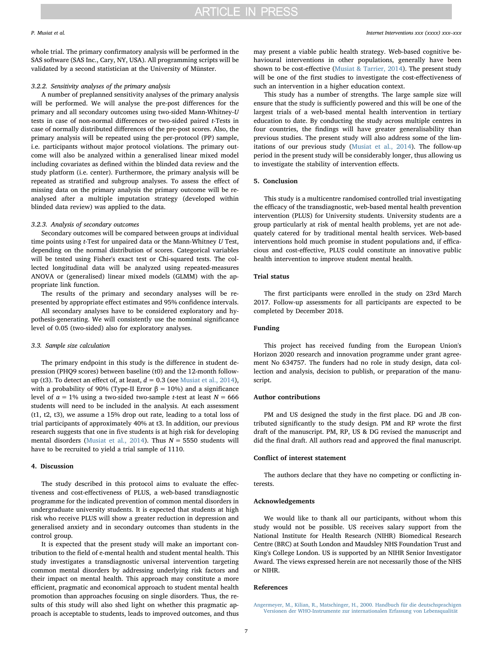whole trial. The primary confirmatory analysis will be performed in the SAS software (SAS Inc., Cary, NY, USA). All programming scripts will be validated by a second statistician at the University of Münster.

#### 3.2.2. Sensitivity analyses of the primary analysis

A number of preplanned sensitivity analyses of the primary analysis will be performed. We will analyse the pre-post differences for the primary and all secondary outcomes using two-sided Mann-Whitney-U tests in case of non-normal differences or two-sided paired t-Tests in case of normally distributed differences of the pre-post scores. Also, the primary analysis will be repeated using the per-protocol (PP) sample, i.e. participants without major protocol violations. The primary outcome will also be analyzed within a generalised linear mixed model including covariates as defined within the blinded data review and the study platform (i.e. center). Furthermore, the primary analysis will be repeated as stratified and subgroup analyses. To assess the effect of missing data on the primary analysis the primary outcome will be reanalysed after a multiple imputation strategy (developed within blinded data review) was applied to the data.

#### 3.2.3. Analysis of secondary outcomes

Secondary outcomes will be compared between groups at individual time points using t-Test for unpaired data or the Mann-Whitney U Test, depending on the normal distribution of scores. Categorical variables will be tested using Fisher's exact test or Chi-squared tests. The collected longitudinal data will be analyzed using repeated-measures ANOVA or (generalised) linear mixed models (GLMM) with the appropriate link function.

The results of the primary and secondary analyses will be represented by appropriate effect estimates and 95% confidence intervals.

All secondary analyses have to be considered exploratory and hypothesis-generating. We will consistently use the nominal significance level of 0.05 (two-sided) also for exploratory analyses.

#### 3.3. Sample size calculation

The primary endpoint in this study is the difference in student depression (PHQ9 scores) between baseline (t0) and the 12-month followup (t3). To detect an effect of, at least,  $d = 0.3$  (see [Musiat et al., 2014](#page-9-16)), with a probability of 90% (Type-II Error β = 10%) and a significance level of  $\alpha = 1\%$  using a two-sided two-sample *t*-test at least  $N = 666$ students will need to be included in the analysis. At each assessment (t1, t2, t3), we assume a 15% drop out rate, leading to a total loss of trial participants of approximately 40% at t3. In addition, our previous research suggests that one in five students is at high risk for developing mental disorders [\(Musiat et al., 2014\)](#page-9-16). Thus  $N = 5550$  students will have to be recruited to yield a trial sample of 1110.

#### 4. Discussion

The study described in this protocol aims to evaluate the effectiveness and cost-effectiveness of PLUS, a web-based transdiagnostic programme for the indicated prevention of common mental disorders in undergraduate university students. It is expected that students at high risk who receive PLUS will show a greater reduction in depression and generalised anxiety and in secondary outcomes than students in the control group.

It is expected that the present study will make an important contribution to the field of e-mental health and student mental health. This study investigates a transdiagnostic universal intervention targeting common mental disorders by addressing underlying risk factors and their impact on mental health. This approach may constitute a more efficient, pragmatic and economical approach to student mental health promotion than approaches focusing on single disorders. Thus, the results of this study will also shed light on whether this pragmatic approach is acceptable to students, leads to improved outcomes, and thus

may present a viable public health strategy. Web-based cognitive behavioural interventions in other populations, generally have been shown to be cost-effective ([Musiat & Tarrier, 2014](#page-9-59)). The present study will be one of the first studies to investigate the cost-effectiveness of such an intervention in a higher education context.

This study has a number of strengths. The large sample size will ensure that the study is sufficiently powered and this will be one of the largest trials of a web-based mental health intervention in tertiary education to date. By conducting the study across multiple centres in four countries, the findings will have greater generalisability than previous studies. The present study will also address some of the limitations of our previous study [\(Musiat et al., 2014](#page-9-16)). The follow-up period in the present study will be considerably longer, thus allowing us to investigate the stability of intervention effects.

#### 5. Conclusion

This study is a multicentre randomised controlled trial investigating the efficacy of the transdiagnostic, web-based mental health prevention intervention (PLUS) for University students. University students are a group particularly at risk of mental health problems, yet are not adequately catered for by traditional mental health services. Web-based interventions hold much promise in student populations and, if efficacious and cost-effective, PLUS could constitute an innovative public health intervention to improve student mental health.

### Trial status

The first participants were enrolled in the study on 23rd March 2017. Follow-up assessments for all participants are expected to be completed by December 2018.

#### Funding

This project has received funding from the European Union's Horizon 2020 research and innovation programme under grant agreement No 634757. The funders had no role in study design, data collection and analysis, decision to publish, or preparation of the manuscript.

#### Author contributions

PM and US designed the study in the first place. DG and JB contributed significantly to the study design. PM and RP wrote the first draft of the manuscript. PM, RP, US & DG revised the manuscript and did the final draft. All authors read and approved the final manuscript.

### Conflict of interest statement

The authors declare that they have no competing or conflicting interests.

#### Acknowledgements

We would like to thank all our participants, without whom this study would not be possible. US receives salary support from the National Institute for Health Research (NIHR) Biomedical Research Centre (BRC) at South London and Maudsley NHS Foundation Trust and King's College London. US is supported by an NIHR Senior Investigator Award. The views expressed herein are not necessarily those of the NHS or NIHR.

#### References

<span id="page-8-0"></span>[Angermeyer, M., Kilian, R., Matschinger, H., 2000. Handbuch für die deutschsprachigen](http://refhub.elsevier.com/S2214-7829(17)30132-X/rf0005) [Versionen der WHO-Instrumente zur internationalen Erfassung von Lebensqualität](http://refhub.elsevier.com/S2214-7829(17)30132-X/rf0005)